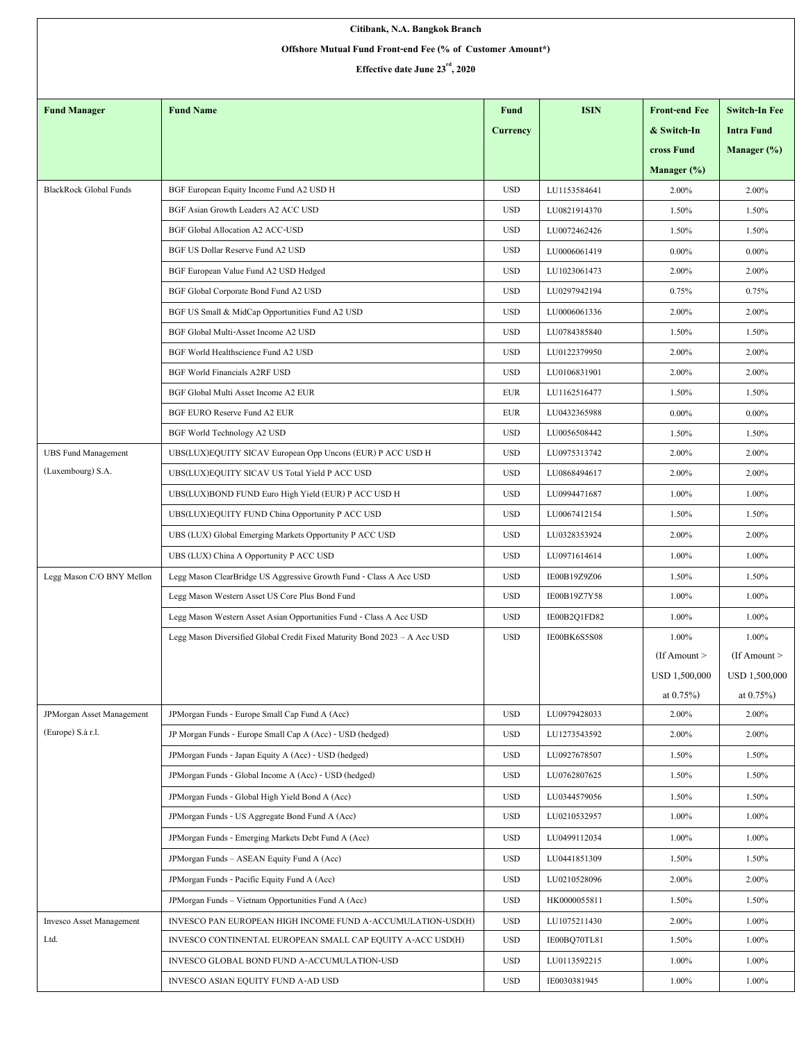| Citibank, N.A. Bangkok Branch                                                                |                                                                           |            |              |                      |                      |  |  |  |  |  |
|----------------------------------------------------------------------------------------------|---------------------------------------------------------------------------|------------|--------------|----------------------|----------------------|--|--|--|--|--|
| Offshore Mutual Fund Front-end Fee (% of Customer Amount*)<br>Effective date June 23rd, 2020 |                                                                           |            |              |                      |                      |  |  |  |  |  |
|                                                                                              |                                                                           |            |              |                      |                      |  |  |  |  |  |
| <b>Fund Manager</b>                                                                          | <b>Fund Name</b>                                                          | Fund       | <b>ISIN</b>  | <b>Front-end Fee</b> | <b>Switch-In Fee</b> |  |  |  |  |  |
|                                                                                              |                                                                           | Currency   |              | & Switch-In          | <b>Intra Fund</b>    |  |  |  |  |  |
|                                                                                              |                                                                           |            |              | cross Fund           | Manager $(\%)$       |  |  |  |  |  |
|                                                                                              |                                                                           |            |              | Manager $(\%)$       |                      |  |  |  |  |  |
| <b>BlackRock Global Funds</b>                                                                | BGF European Equity Income Fund A2 USD H                                  | <b>USD</b> | LU1153584641 | 2.00%                | 2.00%                |  |  |  |  |  |
|                                                                                              | BGF Asian Growth Leaders A2 ACC USD                                       | <b>USD</b> | LU0821914370 | 1.50%                | 1.50%                |  |  |  |  |  |
|                                                                                              | <b>BGF Global Allocation A2 ACC-USD</b>                                   | <b>USD</b> | LU0072462426 | 1.50%                | 1.50%                |  |  |  |  |  |
|                                                                                              | BGF US Dollar Reserve Fund A2 USD                                         | <b>USD</b> | LU0006061419 | $0.00\%$             | $0.00\%$             |  |  |  |  |  |
|                                                                                              | BGF European Value Fund A2 USD Hedged                                     | <b>USD</b> | LU1023061473 | 2.00%                | 2.00%                |  |  |  |  |  |
|                                                                                              | BGF Global Corporate Bond Fund A2 USD                                     | <b>USD</b> | LU0297942194 | 0.75%                | 0.75%                |  |  |  |  |  |
|                                                                                              | BGF US Small & MidCap Opportunities Fund A2 USD                           | <b>USD</b> | LU0006061336 | 2.00%                | 2.00%                |  |  |  |  |  |
|                                                                                              | BGF Global Multi-Asset Income A2 USD                                      | <b>USD</b> | LU0784385840 | 1.50%                | 1.50%                |  |  |  |  |  |
|                                                                                              | BGF World Healthscience Fund A2 USD                                       | <b>USD</b> | LU0122379950 | 2.00%                | 2.00%                |  |  |  |  |  |
|                                                                                              | <b>BGF World Financials A2RF USD</b>                                      | <b>USD</b> | LU0106831901 | 2.00%                | 2.00%                |  |  |  |  |  |
|                                                                                              | BGF Global Multi Asset Income A2 EUR                                      | <b>EUR</b> | LU1162516477 | 1.50%                | 1.50%                |  |  |  |  |  |
|                                                                                              | BGF EURO Reserve Fund A2 EUR                                              | EUR        | LU0432365988 | $0.00\%$             | $0.00\%$             |  |  |  |  |  |
|                                                                                              | BGF World Technology A2 USD                                               | <b>USD</b> | LU0056508442 | 1.50%                | 1.50%                |  |  |  |  |  |
| <b>UBS Fund Management</b>                                                                   | UBS(LUX)EQUITY SICAV European Opp Uncons (EUR) P ACC USD H                | <b>USD</b> | LU0975313742 | 2.00%                | 2.00%                |  |  |  |  |  |
| (Luxembourg) S.A.                                                                            | UBS(LUX)EQUITY SICAV US Total Yield P ACC USD                             | <b>USD</b> | LU0868494617 | 2.00%                | 2.00%                |  |  |  |  |  |
|                                                                                              | UBS(LUX)BOND FUND Euro High Yield (EUR) P ACC USD H                       | <b>USD</b> | LU0994471687 | 1.00%                | 1.00%                |  |  |  |  |  |
|                                                                                              | UBS(LUX)EQUITY FUND China Opportunity P ACC USD                           | <b>USD</b> | LU0067412154 | 1.50%                | 1.50%                |  |  |  |  |  |
|                                                                                              | UBS (LUX) Global Emerging Markets Opportunity P ACC USD                   | <b>USD</b> | LU0328353924 | 2.00%                | 2.00%                |  |  |  |  |  |
|                                                                                              | UBS (LUX) China A Opportunity P ACC USD                                   | <b>USD</b> | LU0971614614 | 1.00%                | 1.00%                |  |  |  |  |  |
| Legg Mason C/O BNY Mellon                                                                    | Legg Mason ClearBridge US Aggressive Growth Fund - Class A Acc USD        | <b>USD</b> | IE00B19Z9Z06 | 1.50%                | 1.50%                |  |  |  |  |  |
|                                                                                              | Legg Mason Western Asset US Core Plus Bond Fund                           | <b>USD</b> | IE00B19Z7Y58 | 1.00%                | 1.00%                |  |  |  |  |  |
|                                                                                              | Legg Mason Western Asset Asian Opportunities Fund - Class A Acc USD       | <b>USD</b> | IE00B2Q1FD82 | 1.00%                | 1.00%                |  |  |  |  |  |
|                                                                                              | Legg Mason Diversified Global Credit Fixed Maturity Bond 2023 - A Acc USD | <b>USD</b> | IE00BK6S5S08 | 1.00%                | 1.00%                |  |  |  |  |  |
|                                                                                              |                                                                           |            |              | $If$ Amount $>$      | (If Amount $>$       |  |  |  |  |  |
|                                                                                              |                                                                           |            |              | USD 1,500,000        | USD 1,500,000        |  |  |  |  |  |
|                                                                                              |                                                                           |            |              | at $0.75%$           | at $0.75\%$ )        |  |  |  |  |  |
| JPMorgan Asset Management                                                                    | JPMorgan Funds - Europe Small Cap Fund A (Acc)                            | <b>USD</b> | LU0979428033 | 2.00%                | 2.00%                |  |  |  |  |  |
| (Europe) S.à r.l.                                                                            | JP Morgan Funds - Europe Small Cap A (Acc) - USD (hedged)                 | <b>USD</b> | LU1273543592 | 2.00%                | 2.00%                |  |  |  |  |  |
|                                                                                              | JPMorgan Funds - Japan Equity A (Acc) - USD (hedged)                      | <b>USD</b> | LU0927678507 | 1.50%                | 1.50%                |  |  |  |  |  |
|                                                                                              | JPMorgan Funds - Global Income A (Acc) - USD (hedged)                     | <b>USD</b> | LU0762807625 | 1.50%                | 1.50%                |  |  |  |  |  |
|                                                                                              | JPMorgan Funds - Global High Yield Bond A (Acc)                           | <b>USD</b> | LU0344579056 | 1.50%                | 1.50%                |  |  |  |  |  |
|                                                                                              | JPMorgan Funds - US Aggregate Bond Fund A (Acc)                           | <b>USD</b> | LU0210532957 | 1.00%                | 1.00%                |  |  |  |  |  |
|                                                                                              | JPMorgan Funds - Emerging Markets Debt Fund A (Acc)                       | <b>USD</b> | LU0499112034 | 1.00%                | 1.00%                |  |  |  |  |  |
|                                                                                              | JPMorgan Funds - ASEAN Equity Fund A (Acc)                                | <b>USD</b> | LU0441851309 | 1.50%                | 1.50%                |  |  |  |  |  |
|                                                                                              | JPMorgan Funds - Pacific Equity Fund A (Acc)                              | <b>USD</b> | LU0210528096 | 2.00%                | 2.00%                |  |  |  |  |  |
|                                                                                              | JPMorgan Funds - Vietnam Opportunities Fund A (Acc)                       | <b>USD</b> | HK0000055811 | 1.50%                | 1.50%                |  |  |  |  |  |
| Invesco Asset Management                                                                     | INVESCO PAN EUROPEAN HIGH INCOME FUND A-ACCUMULATION-USD(H)               | <b>USD</b> | LU1075211430 | 2.00%                | 1.00%                |  |  |  |  |  |
| Ltd.                                                                                         | INVESCO CONTINENTAL EUROPEAN SMALL CAP EQUITY A-ACC USD(H)                | <b>USD</b> | IE00BQ70TL81 | 1.50%                | 1.00%                |  |  |  |  |  |
|                                                                                              | INVESCO GLOBAL BOND FUND A-ACCUMULATION-USD                               | <b>USD</b> | LU0113592215 | 1.00%                | 1.00%                |  |  |  |  |  |
|                                                                                              | INVESCO ASIAN EQUITY FUND A-AD USD                                        | <b>USD</b> | IE0030381945 | 1.00%                | 1.00%                |  |  |  |  |  |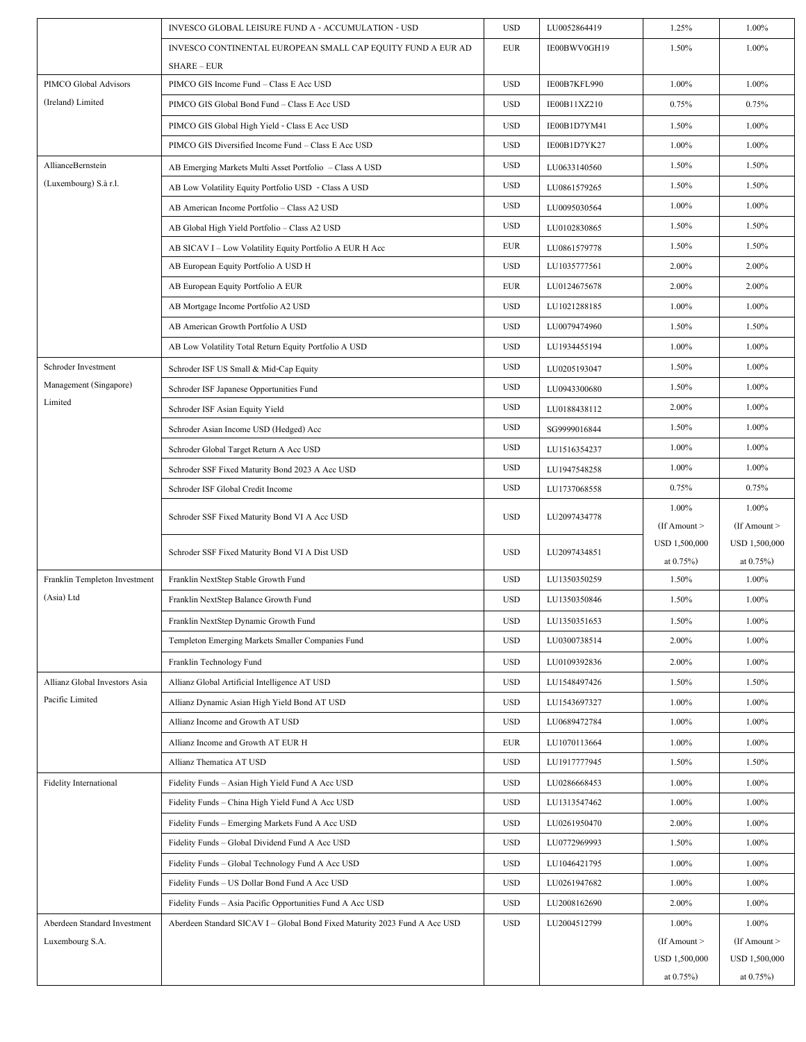|                               | INVESCO GLOBAL LEISURE FUND A - ACCUMULATION - USD                                | <b>USD</b> | LU0052864419 | 1.25%                              | 1.00%                              |
|-------------------------------|-----------------------------------------------------------------------------------|------------|--------------|------------------------------------|------------------------------------|
|                               | INVESCO CONTINENTAL EUROPEAN SMALL CAP EQUITY FUND A EUR AD<br><b>SHARE – EUR</b> | <b>EUR</b> | IE00BWV0GH19 | 1.50%                              | 1.00%                              |
| PIMCO Global Advisors         | PIMCO GIS Income Fund - Class E Acc USD                                           | <b>USD</b> | IE00B7KFL990 | 1.00%                              | 1.00%                              |
| (Ireland) Limited             | PIMCO GIS Global Bond Fund - Class E Acc USD                                      | <b>USD</b> | IE00B11XZ210 | 0.75%                              | 0.75%                              |
|                               | PIMCO GIS Global High Yield - Class E Acc USD                                     | <b>USD</b> | IE00B1D7YM41 | 1.50%                              | 1.00%                              |
|                               | PIMCO GIS Diversified Income Fund - Class E Acc USD                               | <b>USD</b> | IE00B1D7YK27 | 1.00%                              | 1.00%                              |
| AllianceBernstein             | AB Emerging Markets Multi Asset Portfolio - Class A USD                           | <b>USD</b> | LU0633140560 | 1.50%                              | 1.50%                              |
| (Luxembourg) S.à r.l.         | AB Low Volatility Equity Portfolio USD - Class A USD                              | <b>USD</b> | LU0861579265 | 1.50%                              | 1.50%                              |
|                               | AB American Income Portfolio - Class A2 USD                                       | <b>USD</b> | LU0095030564 | 1.00%                              | 1.00%                              |
|                               | AB Global High Yield Portfolio - Class A2 USD                                     | <b>USD</b> | LU0102830865 | 1.50%                              | 1.50%                              |
|                               | AB SICAV I - Low Volatility Equity Portfolio A EUR H Acc                          | EUR        | LU0861579778 | 1.50%                              | 1.50%                              |
|                               | AB European Equity Portfolio A USD H                                              | <b>USD</b> | LU1035777561 | 2.00%                              | 2.00%                              |
|                               | AB European Equity Portfolio A EUR                                                | <b>EUR</b> | LU0124675678 | 2.00%                              | 2.00%                              |
|                               | AB Mortgage Income Portfolio A2 USD                                               | <b>USD</b> | LU1021288185 | 1.00%                              | 1.00%                              |
|                               | AB American Growth Portfolio A USD                                                | <b>USD</b> | LU0079474960 | 1.50%                              | 1.50%                              |
|                               | AB Low Volatility Total Return Equity Portfolio A USD                             | <b>USD</b> | LU1934455194 | 1.00%                              | 1.00%                              |
| Schroder Investment           | Schroder ISF US Small & Mid-Cap Equity                                            | <b>USD</b> | LU0205193047 | 1.50%                              | 1.00%                              |
| Management (Singapore)        | Schroder ISF Japanese Opportunities Fund                                          | <b>USD</b> | LU0943300680 | 1.50%                              | 1.00%                              |
| Limited                       | Schroder ISF Asian Equity Yield                                                   | <b>USD</b> | LU0188438112 | 2.00%                              | 1.00%                              |
|                               | Schroder Asian Income USD (Hedged) Acc                                            | <b>USD</b> | SG9999016844 | 1.50%                              | 1.00%                              |
|                               | Schroder Global Target Return A Acc USD                                           | <b>USD</b> | LU1516354237 | 1.00%                              | 1.00%                              |
|                               | Schroder SSF Fixed Maturity Bond 2023 A Acc USD                                   | <b>USD</b> | LU1947548258 | 1.00%                              | 1.00%                              |
|                               | Schroder ISF Global Credit Income                                                 | <b>USD</b> | LU1737068558 | 0.75%                              | 0.75%                              |
|                               | Schroder SSF Fixed Maturity Bond VI A Acc USD                                     | <b>USD</b> | LU2097434778 | 1.00%                              | 1.00%                              |
|                               |                                                                                   |            |              | $($ If Amount $>$<br>USD 1,500,000 | $($ If Amount $>$<br>USD 1,500,000 |
|                               | Schroder SSF Fixed Maturity Bond VI A Dist USD                                    | <b>USD</b> | LU2097434851 | at $0.75%$                         | at $0.75%$                         |
| Franklin Templeton Investment | Franklin NextStep Stable Growth Fund                                              | <b>USD</b> | LU1350350259 | 1.50%                              | 1.00%                              |
| (Asia) Ltd                    | Franklin NextStep Balance Growth Fund                                             | <b>USD</b> | LU1350350846 | 1.50%                              | 1.00%                              |
|                               | Franklin NextStep Dynamic Growth Fund                                             | <b>USD</b> | LU1350351653 | 1.50%                              | 1.00%                              |
|                               | Templeton Emerging Markets Smaller Companies Fund                                 | <b>USD</b> | LU0300738514 | 2.00%                              | 1.00%                              |
|                               | Franklin Technology Fund                                                          | <b>USD</b> | LU0109392836 | 2.00%                              | 1.00%                              |
| Allianz Global Investors Asia | Allianz Global Artificial Intelligence AT USD                                     | <b>USD</b> | LU1548497426 | 1.50%                              | 1.50%                              |
| Pacific Limited               | Allianz Dynamic Asian High Yield Bond AT USD                                      | <b>USD</b> | LU1543697327 | 1.00%                              | 1.00%                              |
|                               | Allianz Income and Growth AT USD                                                  | <b>USD</b> | LU0689472784 | 1.00%                              | 1.00%                              |
|                               | Allianz Income and Growth AT EUR H                                                | EUR        | LU1070113664 | 1.00%                              | 1.00%                              |
|                               | Allianz Thematica AT USD                                                          | <b>USD</b> | LU1917777945 | 1.50%                              | 1.50%                              |
| <b>Fidelity International</b> | Fidelity Funds - Asian High Yield Fund A Acc USD                                  | <b>USD</b> | LU0286668453 | 1.00%                              | 1.00%                              |
|                               | Fidelity Funds - China High Yield Fund A Acc USD                                  | <b>USD</b> | LU1313547462 | 1.00%                              | 1.00%                              |
|                               | Fidelity Funds - Emerging Markets Fund A Acc USD                                  | <b>USD</b> | LU0261950470 | 2.00%                              | 1.00%                              |
|                               | Fidelity Funds - Global Dividend Fund A Acc USD                                   | <b>USD</b> | LU0772969993 | 1.50%                              | 1.00%                              |
|                               | Fidelity Funds - Global Technology Fund A Acc USD                                 | <b>USD</b> | LU1046421795 | 1.00%                              | 1.00%                              |
|                               | Fidelity Funds - US Dollar Bond Fund A Acc USD                                    | <b>USD</b> | LU0261947682 | 1.00%                              | 1.00%                              |
|                               | Fidelity Funds - Asia Pacific Opportunities Fund A Acc USD                        | <b>USD</b> | LU2008162690 | 2.00%                              | 1.00%                              |
| Aberdeen Standard Investment  | Aberdeen Standard SICAV I - Global Bond Fixed Maturity 2023 Fund A Acc USD        | <b>USD</b> | LU2004512799 | 1.00%                              | 1.00%                              |
| Luxembourg S.A.               |                                                                                   |            |              | $($ If Amount $>$                  | $($ If Amount $>$                  |
|                               |                                                                                   |            |              |                                    |                                    |
|                               |                                                                                   |            |              | USD 1,500,000<br>at $0.75%$        | USD 1,500,000<br>at $0.75%$        |